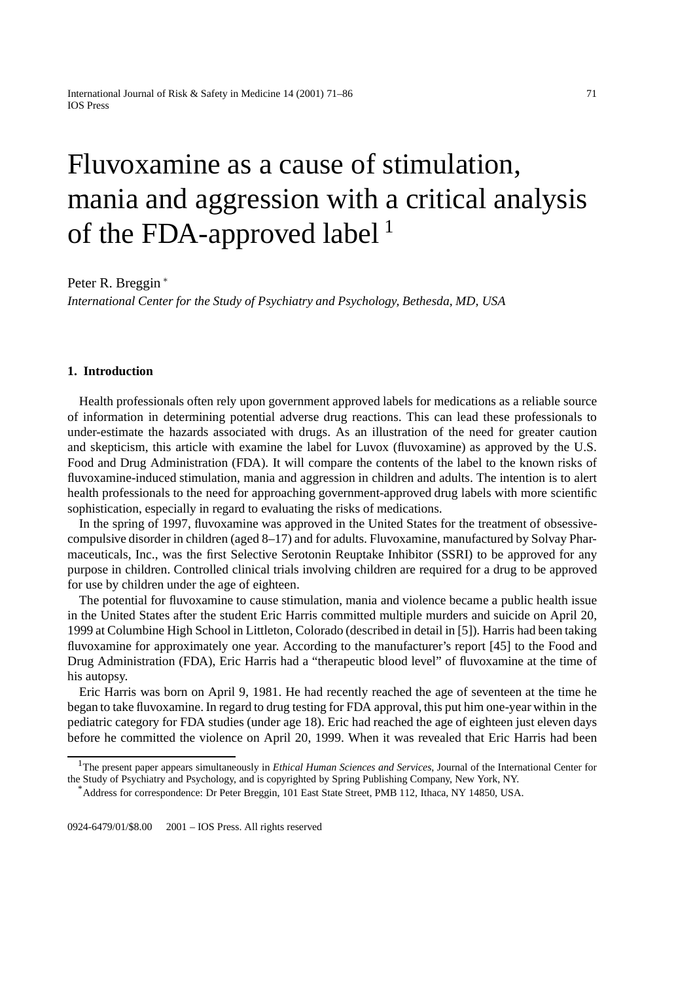# Fluvoxamine as a cause of stimulation, mania and aggression with a critical analysis of the FDA-approved label<sup>1</sup>

Peter R. Breggin <sup>∗</sup>

*International Center for the Study of Psychiatry and Psychology, Bethesda, MD, USA*

# **1. Introduction**

Health professionals often rely upon government approved labels for medications as a reliable source of information in determining potential adverse drug reactions. This can lead these professionals to under-estimate the hazards associated with drugs. As an illustration of the need for greater caution and skepticism, this article with examine the label for Luvox (fluvoxamine) as approved by the U.S. Food and Drug Administration (FDA). It will compare the contents of the label to the known risks of fluvoxamine-induced stimulation, mania and aggression in children and adults. The intention is to alert health professionals to the need for approaching government-approved drug labels with more scientific sophistication, especially in regard to evaluating the risks of medications.

In the spring of 1997, fluvoxamine was approved in the United States for the treatment of obsessivecompulsive disorder in children (aged 8–17) and for adults. Fluvoxamine, manufactured by Solvay Pharmaceuticals, Inc., was the first Selective Serotonin Reuptake Inhibitor (SSRI) to be approved for any purpose in children. Controlled clinical trials involving children are required for a drug to be approved for use by children under the age of eighteen.

The potential for fluvoxamine to cause stimulation, mania and violence became a public health issue in the United States after the student Eric Harris committed multiple murders and suicide on April 20, 1999 at Columbine High School in Littleton, Colorado (described in detail in [5]). Harris had been taking fluvoxamine for approximately one year. According to the manufacturer's report [45] to the Food and Drug Administration (FDA), Eric Harris had a "therapeutic blood level" of fluvoxamine at the time of his autopsy.

Eric Harris was born on April 9, 1981. He had recently reached the age of seventeen at the time he began to take fluvoxamine. In regard to drug testing for FDA approval, this put him one-year within in the pediatric category for FDA studies (under age 18). Eric had reached the age of eighteen just eleven days before he committed the violence on April 20, 1999. When it was revealed that Eric Harris had been

<sup>1</sup>The present paper appears simultaneously in *Ethical Human Sciences and Services*, Journal of the International Center for the Study of Psychiatry and Psychology, and is copyrighted by Spring Publishing Company, New York, NY.

<sup>\*</sup>Address for correspondence: Dr Peter Breggin, 101 East State Street, PMB 112, Ithaca, NY 14850, USA.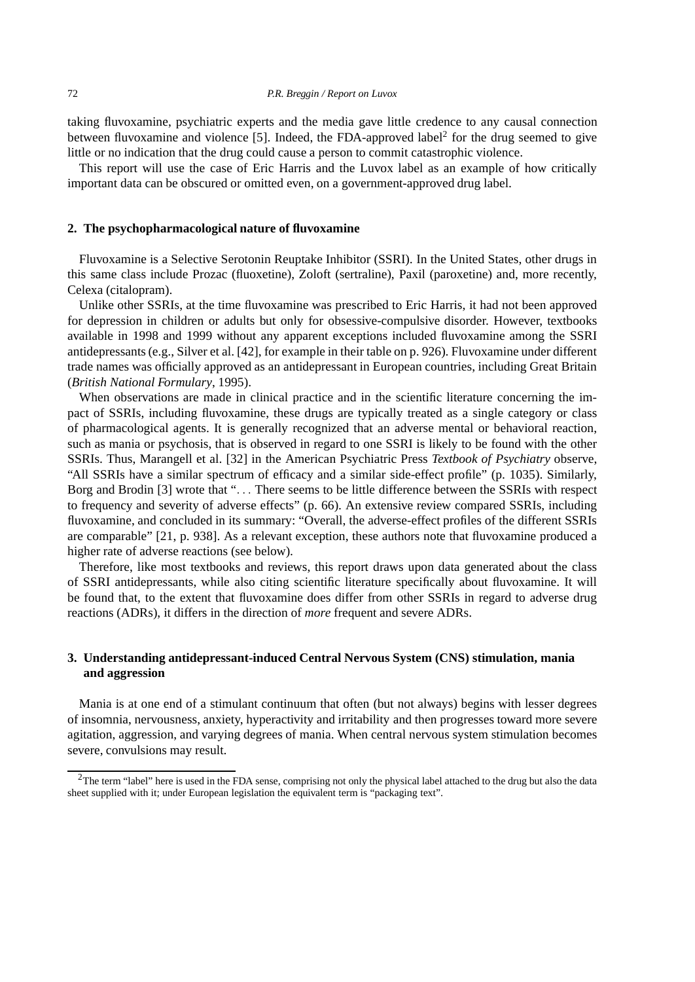taking fluvoxamine, psychiatric experts and the media gave little credence to any causal connection between fluvoxamine and violence [5]. Indeed, the FDA-approved label<sup>2</sup> for the drug seemed to give little or no indication that the drug could cause a person to commit catastrophic violence.

This report will use the case of Eric Harris and the Luvox label as an example of how critically important data can be obscured or omitted even, on a government-approved drug label.

#### **2. The psychopharmacological nature of fluvoxamine**

Fluvoxamine is a Selective Serotonin Reuptake Inhibitor (SSRI). In the United States, other drugs in this same class include Prozac (fluoxetine), Zoloft (sertraline), Paxil (paroxetine) and, more recently, Celexa (citalopram).

Unlike other SSRIs, at the time fluvoxamine was prescribed to Eric Harris, it had not been approved for depression in children or adults but only for obsessive-compulsive disorder. However, textbooks available in 1998 and 1999 without any apparent exceptions included fluvoxamine among the SSRI antidepressants (e.g., Silver et al. [42], for example in their table on p. 926). Fluvoxamine under different trade names was officially approved as an antidepressant in European countries, including Great Britain (*British National Formulary*, 1995).

When observations are made in clinical practice and in the scientific literature concerning the impact of SSRIs, including fluvoxamine, these drugs are typically treated as a single category or class of pharmacological agents. It is generally recognized that an adverse mental or behavioral reaction, such as mania or psychosis, that is observed in regard to one SSRI is likely to be found with the other SSRIs. Thus, Marangell et al. [32] in the American Psychiatric Press *Textbook of Psychiatry* observe, "All SSRIs have a similar spectrum of efficacy and a similar side-effect profile" (p. 1035). Similarly, Borg and Brodin [3] wrote that "... There seems to be little difference between the SSRIs with respect to frequency and severity of adverse effects" (p. 66). An extensive review compared SSRIs, including fluvoxamine, and concluded in its summary: "Overall, the adverse-effect profiles of the different SSRIs are comparable" [21, p. 938]. As a relevant exception, these authors note that fluvoxamine produced a higher rate of adverse reactions (see below).

Therefore, like most textbooks and reviews, this report draws upon data generated about the class of SSRI antidepressants, while also citing scientific literature specifically about fluvoxamine. It will be found that, to the extent that fluvoxamine does differ from other SSRIs in regard to adverse drug reactions (ADRs), it differs in the direction of *more* frequent and severe ADRs.

# **3. Understanding antidepressant-induced Central Nervous System (CNS) stimulation, mania and aggression**

Mania is at one end of a stimulant continuum that often (but not always) begins with lesser degrees of insomnia, nervousness, anxiety, hyperactivity and irritability and then progresses toward more severe agitation, aggression, and varying degrees of mania. When central nervous system stimulation becomes severe, convulsions may result.

 $2$ The term "label" here is used in the FDA sense, comprising not only the physical label attached to the drug but also the data sheet supplied with it; under European legislation the equivalent term is "packaging text".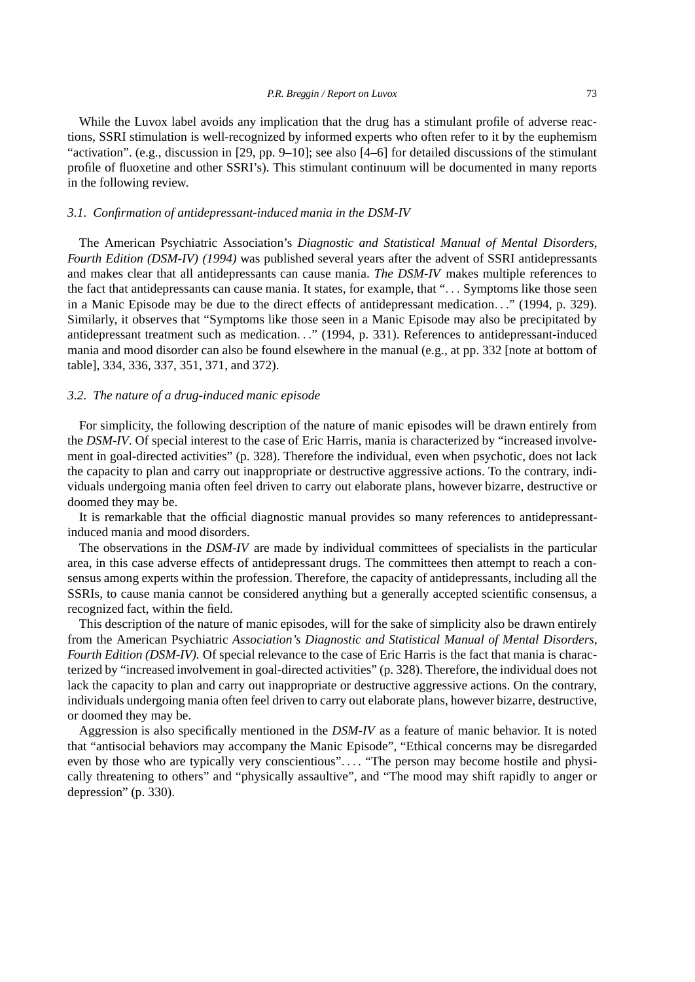While the Luvox label avoids any implication that the drug has a stimulant profile of adverse reactions, SSRI stimulation is well-recognized by informed experts who often refer to it by the euphemism "activation". (e.g., discussion in [29, pp. 9–10]; see also [4–6] for detailed discussions of the stimulant profile of fluoxetine and other SSRI's). This stimulant continuum will be documented in many reports in the following review.

### *3.1. Confirmation of antidepressant-induced mania in the DSM-IV*

The American Psychiatric Association's *Diagnostic and Statistical Manual of Mental Disorders, Fourth Edition (DSM-IV) (1994)* was published several years after the advent of SSRI antidepressants and makes clear that all antidepressants can cause mania. *The DSM-IV* makes multiple references to the fact that antidepressants can cause mania. It states, for example, that "... Symptoms like those seen in a Manic Episode may be due to the direct effects of antidepressant medication..." (1994, p. 329). Similarly, it observes that "Symptoms like those seen in a Manic Episode may also be precipitated by antidepressant treatment such as medication..." (1994, p. 331). References to antidepressant-induced mania and mood disorder can also be found elsewhere in the manual (e.g., at pp. 332 [note at bottom of table], 334, 336, 337, 351, 371, and 372).

## *3.2. The nature of a drug-induced manic episode*

For simplicity, the following description of the nature of manic episodes will be drawn entirely from the *DSM-IV*. Of special interest to the case of Eric Harris, mania is characterized by "increased involvement in goal-directed activities" (p. 328). Therefore the individual, even when psychotic, does not lack the capacity to plan and carry out inappropriate or destructive aggressive actions. To the contrary, individuals undergoing mania often feel driven to carry out elaborate plans, however bizarre, destructive or doomed they may be.

It is remarkable that the official diagnostic manual provides so many references to antidepressantinduced mania and mood disorders.

The observations in the *DSM-IV* are made by individual committees of specialists in the particular area, in this case adverse effects of antidepressant drugs. The committees then attempt to reach a consensus among experts within the profession. Therefore, the capacity of antidepressants, including all the SSRIs, to cause mania cannot be considered anything but a generally accepted scientific consensus, a recognized fact, within the field.

This description of the nature of manic episodes, will for the sake of simplicity also be drawn entirely from the American Psychiatric *Association's Diagnostic and Statistical Manual of Mental Disorders, Fourth Edition (DSM-IV).* Of special relevance to the case of Eric Harris is the fact that mania is characterized by "increased involvement in goal-directed activities" (p. 328). Therefore, the individual does not lack the capacity to plan and carry out inappropriate or destructive aggressive actions. On the contrary, individuals undergoing mania often feel driven to carry out elaborate plans, however bizarre, destructive, or doomed they may be.

Aggression is also specifically mentioned in the *DSM-IV* as a feature of manic behavior. It is noted that "antisocial behaviors may accompany the Manic Episode", "Ethical concerns may be disregarded even by those who are typically very conscientious".... "The person may become hostile and physically threatening to others" and "physically assaultive", and "The mood may shift rapidly to anger or depression" (p. 330).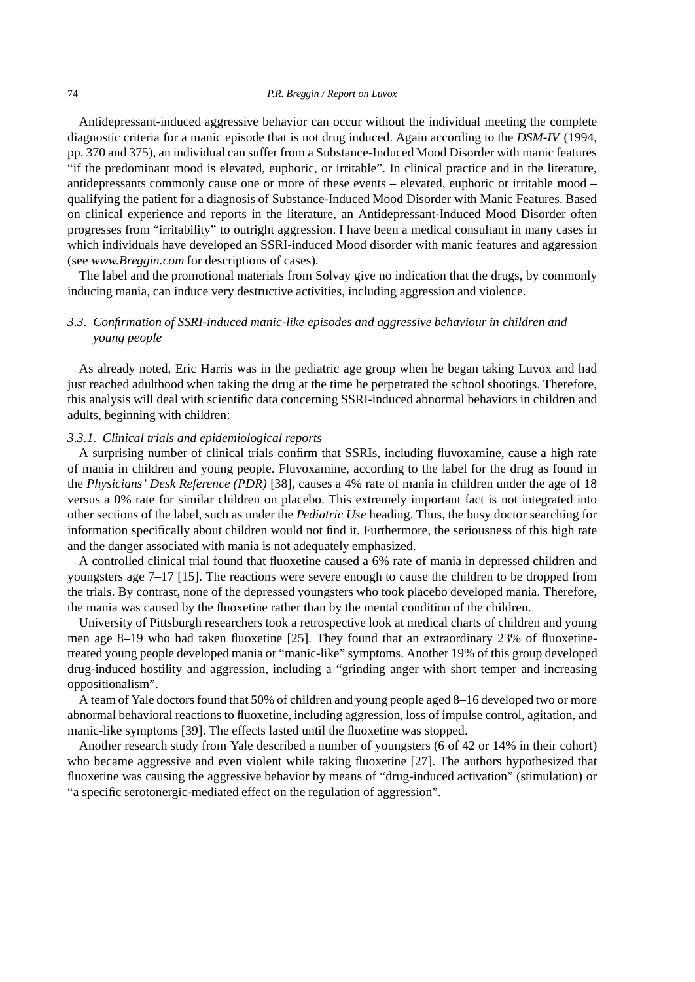Antidepressant-induced aggressive behavior can occur without the individual meeting the complete diagnostic criteria for a manic episode that is not drug induced. Again according to the *DSM-IV* (1994, pp. 370 and 375), an individual can suffer from a Substance-Induced Mood Disorder with manic features "if the predominant mood is elevated, euphoric, or irritable". In clinical practice and in the literature, antidepressants commonly cause one or more of these events – elevated, euphoric or irritable mood – qualifying the patient for a diagnosis of Substance-Induced Mood Disorder with Manic Features. Based on clinical experience and reports in the literature, an Antidepressant-Induced Mood Disorder often progresses from "irritability" to outright aggression. I have been a medical consultant in many cases in which individuals have developed an SSRI-induced Mood disorder with manic features and aggression (see *www.Breggin.com* for descriptions of cases).

The label and the promotional materials from Solvay give no indication that the drugs, by commonly inducing mania, can induce very destructive activities, including aggression and violence.

# *3.3. Confirmation of SSRI-induced manic-like episodes and aggressive behaviour in children and young people*

As already noted, Eric Harris was in the pediatric age group when he began taking Luvox and had just reached adulthood when taking the drug at the time he perpetrated the school shootings. Therefore, this analysis will deal with scientific data concerning SSRI-induced abnormal behaviors in children and adults, beginning with children:

## *3.3.1. Clinical trials and epidemiological reports*

A surprising number of clinical trials confirm that SSRIs, including fluvoxamine, cause a high rate of mania in children and young people. Fluvoxamine, according to the label for the drug as found in the *Physicians' Desk Reference (PDR)* [38], causes a 4% rate of mania in children under the age of 18 versus a 0% rate for similar children on placebo. This extremely important fact is not integrated into other sections of the label, such as under the *Pediatric Use* heading. Thus, the busy doctor searching for information specifically about children would not find it. Furthermore, the seriousness of this high rate and the danger associated with mania is not adequately emphasized.

A controlled clinical trial found that fluoxetine caused a 6% rate of mania in depressed children and youngsters age 7–17 [15]. The reactions were severe enough to cause the children to be dropped from the trials. By contrast, none of the depressed youngsters who took placebo developed mania. Therefore, the mania was caused by the fluoxetine rather than by the mental condition of the children.

University of Pittsburgh researchers took a retrospective look at medical charts of children and young men age 8–19 who had taken fluoxetine [25]. They found that an extraordinary 23% of fluoxetinetreated young people developed mania or "manic-like" symptoms. Another 19% of this group developed drug-induced hostility and aggression, including a "grinding anger with short temper and increasing oppositionalism".

A team of Yale doctors found that 50% of children and young people aged 8–16 developed two or more abnormal behavioral reactions to fluoxetine, including aggression, loss of impulse control, agitation, and manic-like symptoms [39]. The effects lasted until the fluoxetine was stopped.

Another research study from Yale described a number of youngsters (6 of 42 or 14% in their cohort) who became aggressive and even violent while taking fluoxetine [27]. The authors hypothesized that fluoxetine was causing the aggressive behavior by means of "drug-induced activation" (stimulation) or "a specific serotonergic-mediated effect on the regulation of aggression".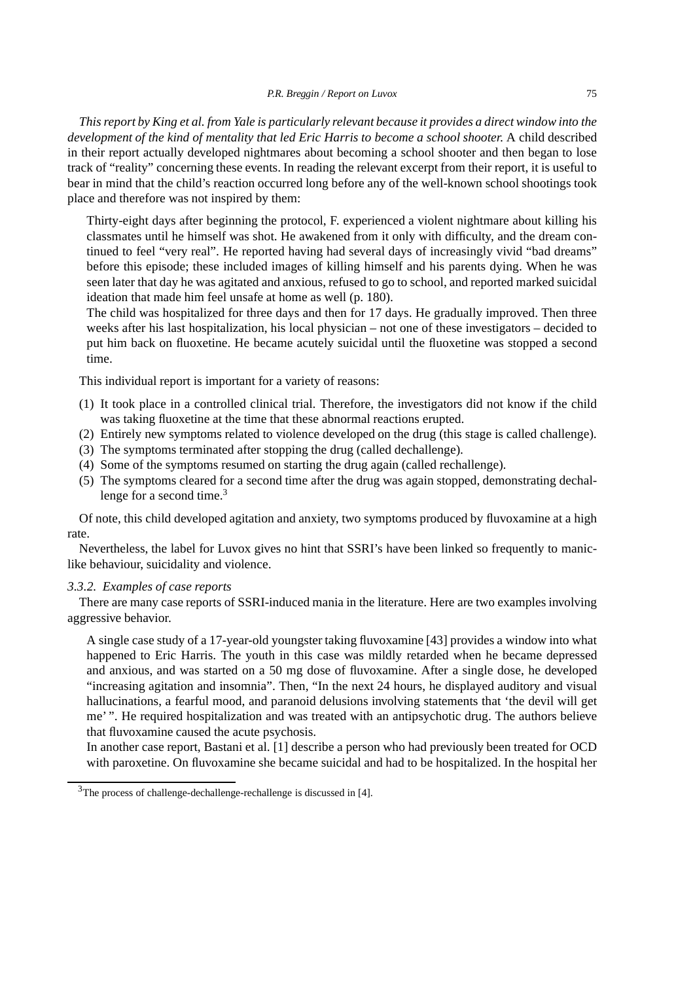*This report by King et al. from Yale is particularly relevant because it provides a direct window into the development of the kind of mentality that led Eric Harris to become a school shooter.* A child described in their report actually developed nightmares about becoming a school shooter and then began to lose track of "reality" concerning these events. In reading the relevant excerpt from their report, it is useful to bear in mind that the child's reaction occurred long before any of the well-known school shootings took place and therefore was not inspired by them:

Thirty-eight days after beginning the protocol, F. experienced a violent nightmare about killing his classmates until he himself was shot. He awakened from it only with difficulty, and the dream continued to feel "very real". He reported having had several days of increasingly vivid "bad dreams" before this episode; these included images of killing himself and his parents dying. When he was seen later that day he was agitated and anxious, refused to go to school, and reported marked suicidal ideation that made him feel unsafe at home as well (p. 180).

The child was hospitalized for three days and then for 17 days. He gradually improved. Then three weeks after his last hospitalization, his local physician – not one of these investigators – decided to put him back on fluoxetine. He became acutely suicidal until the fluoxetine was stopped a second time.

This individual report is important for a variety of reasons:

- (1) It took place in a controlled clinical trial. Therefore, the investigators did not know if the child was taking fluoxetine at the time that these abnormal reactions erupted.
- (2) Entirely new symptoms related to violence developed on the drug (this stage is called challenge).
- (3) The symptoms terminated after stopping the drug (called dechallenge).
- (4) Some of the symptoms resumed on starting the drug again (called rechallenge).
- (5) The symptoms cleared for a second time after the drug was again stopped, demonstrating dechallenge for a second time. $3$

Of note, this child developed agitation and anxiety, two symptoms produced by fluvoxamine at a high rate.

Nevertheless, the label for Luvox gives no hint that SSRI's have been linked so frequently to maniclike behaviour, suicidality and violence.

### *3.3.2. Examples of case reports*

There are many case reports of SSRI-induced mania in the literature. Here are two examples involving aggressive behavior.

A single case study of a 17-year-old youngster taking fluvoxamine [43] provides a window into what happened to Eric Harris. The youth in this case was mildly retarded when he became depressed and anxious, and was started on a 50 mg dose of fluvoxamine. After a single dose, he developed "increasing agitation and insomnia". Then, "In the next 24 hours, he displayed auditory and visual hallucinations, a fearful mood, and paranoid delusions involving statements that 'the devil will get me' ". He required hospitalization and was treated with an antipsychotic drug. The authors believe that fluvoxamine caused the acute psychosis.

In another case report, Bastani et al. [1] describe a person who had previously been treated for OCD with paroxetine. On fluvoxamine she became suicidal and had to be hospitalized. In the hospital her

 $3$ The process of challenge-dechallenge-rechallenge is discussed in [4].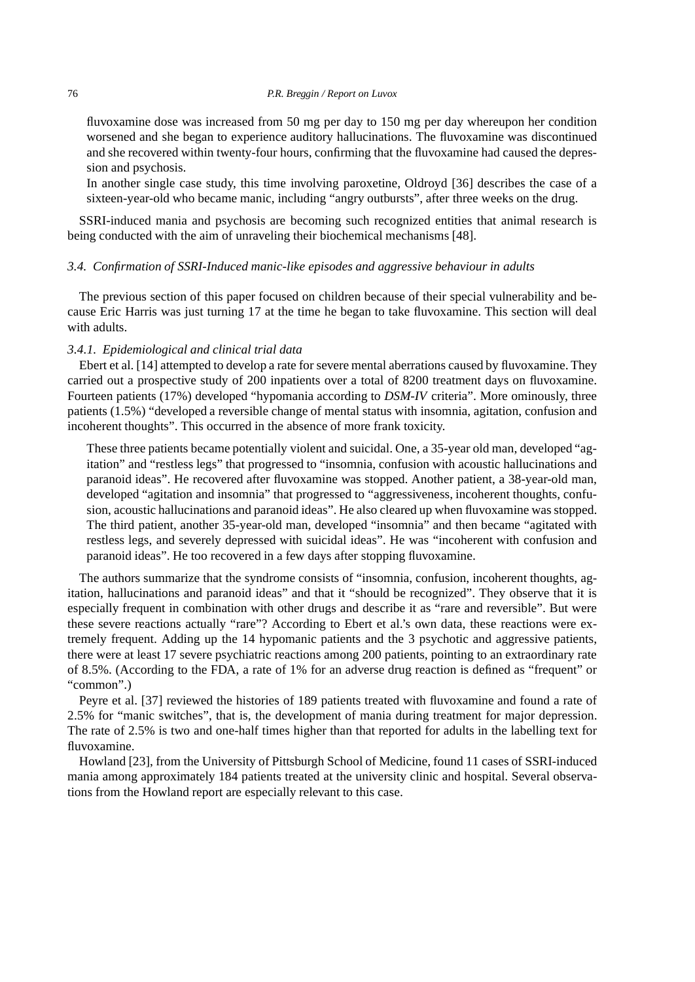fluvoxamine dose was increased from 50 mg per day to 150 mg per day whereupon her condition worsened and she began to experience auditory hallucinations. The fluvoxamine was discontinued and she recovered within twenty-four hours, confirming that the fluvoxamine had caused the depression and psychosis.

In another single case study, this time involving paroxetine, Oldroyd [36] describes the case of a sixteen-year-old who became manic, including "angry outbursts", after three weeks on the drug.

SSRI-induced mania and psychosis are becoming such recognized entities that animal research is being conducted with the aim of unraveling their biochemical mechanisms [48].

## *3.4. Confirmation of SSRI-Induced manic-like episodes and aggressive behaviour in adults*

The previous section of this paper focused on children because of their special vulnerability and because Eric Harris was just turning 17 at the time he began to take fluvoxamine. This section will deal with adults.

# *3.4.1. Epidemiological and clinical trial data*

Ebert et al. [14] attempted to develop a rate for severe mental aberrations caused by fluvoxamine. They carried out a prospective study of 200 inpatients over a total of 8200 treatment days on fluvoxamine. Fourteen patients (17%) developed "hypomania according to *DSM-IV* criteria". More ominously, three patients (1.5%) "developed a reversible change of mental status with insomnia, agitation, confusion and incoherent thoughts". This occurred in the absence of more frank toxicity.

These three patients became potentially violent and suicidal. One, a 35-year old man, developed "agitation" and "restless legs" that progressed to "insomnia, confusion with acoustic hallucinations and paranoid ideas". He recovered after fluvoxamine was stopped. Another patient, a 38-year-old man, developed "agitation and insomnia" that progressed to "aggressiveness, incoherent thoughts, confusion, acoustic hallucinations and paranoid ideas". He also cleared up when fluvoxamine was stopped. The third patient, another 35-year-old man, developed "insomnia" and then became "agitated with restless legs, and severely depressed with suicidal ideas". He was "incoherent with confusion and paranoid ideas". He too recovered in a few days after stopping fluvoxamine.

The authors summarize that the syndrome consists of "insomnia, confusion, incoherent thoughts, agitation, hallucinations and paranoid ideas" and that it "should be recognized". They observe that it is especially frequent in combination with other drugs and describe it as "rare and reversible". But were these severe reactions actually "rare"? According to Ebert et al.'s own data, these reactions were extremely frequent. Adding up the 14 hypomanic patients and the 3 psychotic and aggressive patients, there were at least 17 severe psychiatric reactions among 200 patients, pointing to an extraordinary rate of 8.5%. (According to the FDA, a rate of 1% for an adverse drug reaction is defined as "frequent" or "common".)

Peyre et al. [37] reviewed the histories of 189 patients treated with fluvoxamine and found a rate of 2.5% for "manic switches", that is, the development of mania during treatment for major depression. The rate of 2.5% is two and one-half times higher than that reported for adults in the labelling text for fluvoxamine.

Howland [23], from the University of Pittsburgh School of Medicine, found 11 cases of SSRI-induced mania among approximately 184 patients treated at the university clinic and hospital. Several observations from the Howland report are especially relevant to this case.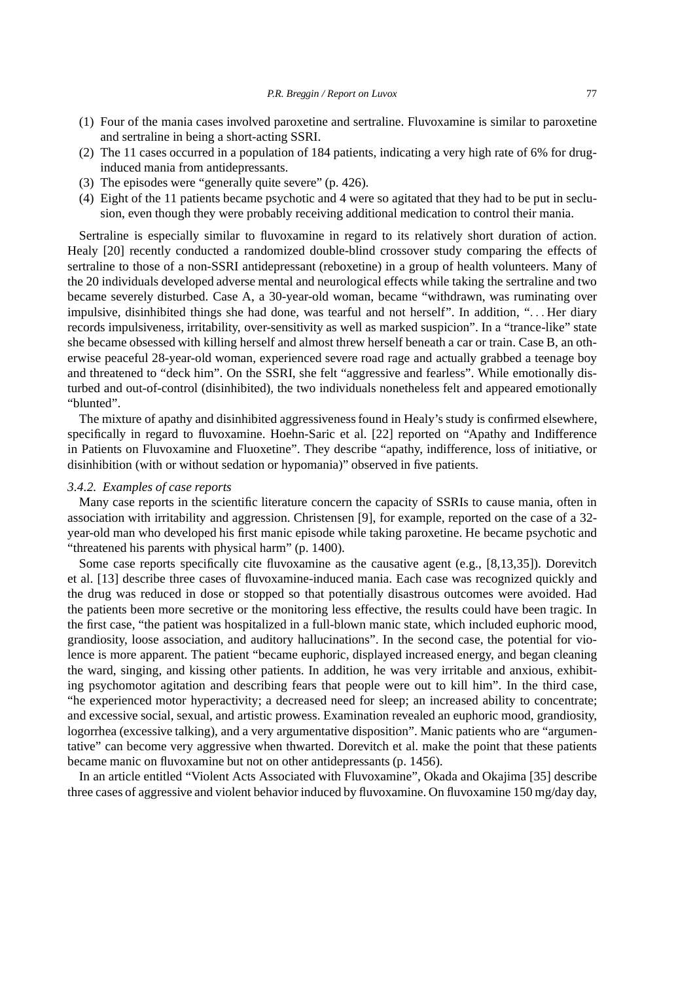- (1) Four of the mania cases involved paroxetine and sertraline. Fluvoxamine is similar to paroxetine and sertraline in being a short-acting SSRI.
- (2) The 11 cases occurred in a population of 184 patients, indicating a very high rate of 6% for druginduced mania from antidepressants.
- (3) The episodes were "generally quite severe" (p. 426).
- (4) Eight of the 11 patients became psychotic and 4 were so agitated that they had to be put in seclusion, even though they were probably receiving additional medication to control their mania.

Sertraline is especially similar to fluvoxamine in regard to its relatively short duration of action. Healy [20] recently conducted a randomized double-blind crossover study comparing the effects of sertraline to those of a non-SSRI antidepressant (reboxetine) in a group of health volunteers. Many of the 20 individuals developed adverse mental and neurological effects while taking the sertraline and two became severely disturbed. Case A, a 30-year-old woman, became "withdrawn, was ruminating over impulsive, disinhibited things she had done, was tearful and not herself". In addition, "... Her diary records impulsiveness, irritability, over-sensitivity as well as marked suspicion". In a "trance-like" state she became obsessed with killing herself and almost threw herself beneath a car or train. Case B, an otherwise peaceful 28-year-old woman, experienced severe road rage and actually grabbed a teenage boy and threatened to "deck him". On the SSRI, she felt "aggressive and fearless". While emotionally disturbed and out-of-control (disinhibited), the two individuals nonetheless felt and appeared emotionally "blunted".

The mixture of apathy and disinhibited aggressiveness found in Healy's study is confirmed elsewhere, specifically in regard to fluvoxamine. Hoehn-Saric et al. [22] reported on "Apathy and Indifference in Patients on Fluvoxamine and Fluoxetine". They describe "apathy, indifference, loss of initiative, or disinhibition (with or without sedation or hypomania)" observed in five patients.

### *3.4.2. Examples of case reports*

Many case reports in the scientific literature concern the capacity of SSRIs to cause mania, often in association with irritability and aggression. Christensen [9], for example, reported on the case of a 32 year-old man who developed his first manic episode while taking paroxetine. He became psychotic and "threatened his parents with physical harm" (p. 1400).

Some case reports specifically cite fluvoxamine as the causative agent (e.g., [8,13,35]). Dorevitch et al. [13] describe three cases of fluvoxamine-induced mania. Each case was recognized quickly and the drug was reduced in dose or stopped so that potentially disastrous outcomes were avoided. Had the patients been more secretive or the monitoring less effective, the results could have been tragic. In the first case, "the patient was hospitalized in a full-blown manic state, which included euphoric mood, grandiosity, loose association, and auditory hallucinations". In the second case, the potential for violence is more apparent. The patient "became euphoric, displayed increased energy, and began cleaning the ward, singing, and kissing other patients. In addition, he was very irritable and anxious, exhibiting psychomotor agitation and describing fears that people were out to kill him". In the third case, "he experienced motor hyperactivity; a decreased need for sleep; an increased ability to concentrate; and excessive social, sexual, and artistic prowess. Examination revealed an euphoric mood, grandiosity, logorrhea (excessive talking), and a very argumentative disposition". Manic patients who are "argumentative" can become very aggressive when thwarted. Dorevitch et al. make the point that these patients became manic on fluvoxamine but not on other antidepressants (p. 1456).

In an article entitled "Violent Acts Associated with Fluvoxamine", Okada and Okajima [35] describe three cases of aggressive and violent behavior induced by fluvoxamine. On fluvoxamine 150 mg/day day,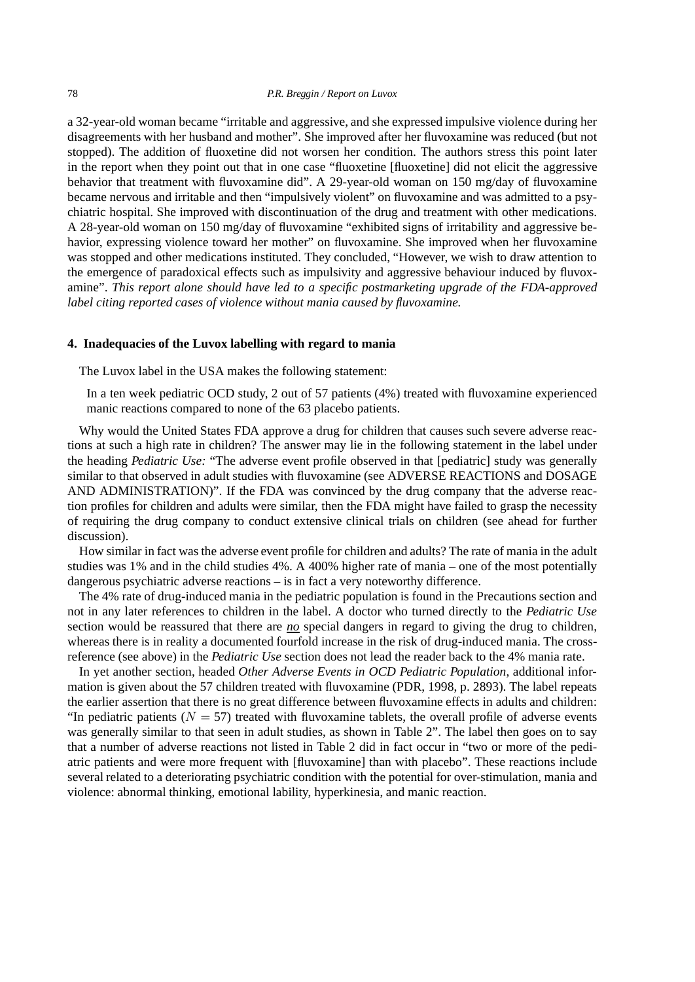a 32-year-old woman became "irritable and aggressive, and she expressed impulsive violence during her disagreements with her husband and mother". She improved after her fluvoxamine was reduced (but not stopped). The addition of fluoxetine did not worsen her condition. The authors stress this point later in the report when they point out that in one case "fluoxetine [fluoxetine] did not elicit the aggressive behavior that treatment with fluvoxamine did". A 29-year-old woman on 150 mg/day of fluvoxamine became nervous and irritable and then "impulsively violent" on fluvoxamine and was admitted to a psychiatric hospital. She improved with discontinuation of the drug and treatment with other medications. A 28-year-old woman on 150 mg/day of fluvoxamine "exhibited signs of irritability and aggressive behavior, expressing violence toward her mother" on fluvoxamine. She improved when her fluvoxamine was stopped and other medications instituted. They concluded, "However, we wish to draw attention to the emergence of paradoxical effects such as impulsivity and aggressive behaviour induced by fluvoxamine". *This report alone should have led to a specific postmarketing upgrade of the FDA-approved label citing reported cases of violence without mania caused by fluvoxamine.*

#### **4. Inadequacies of the Luvox labelling with regard to mania**

The Luvox label in the USA makes the following statement:

In a ten week pediatric OCD study, 2 out of 57 patients (4%) treated with fluvoxamine experienced manic reactions compared to none of the 63 placebo patients.

Why would the United States FDA approve a drug for children that causes such severe adverse reactions at such a high rate in children? The answer may lie in the following statement in the label under the heading *Pediatric Use:* "The adverse event profile observed in that [pediatric] study was generally similar to that observed in adult studies with fluvoxamine (see ADVERSE REACTIONS and DOSAGE AND ADMINISTRATION)". If the FDA was convinced by the drug company that the adverse reaction profiles for children and adults were similar, then the FDA might have failed to grasp the necessity of requiring the drug company to conduct extensive clinical trials on children (see ahead for further discussion).

How similar in fact was the adverse event profile for children and adults? The rate of mania in the adult studies was 1% and in the child studies 4%. A 400% higher rate of mania – one of the most potentially dangerous psychiatric adverse reactions – is in fact a very noteworthy difference.

The 4% rate of drug-induced mania in the pediatric population is found in the Precautions section and not in any later references to children in the label. A doctor who turned directly to the *Pediatric Use* section would be reassured that there are *no* special dangers in regard to giving the drug to children, whereas there is in reality a documented fourfold increase in the risk of drug-induced mania. The crossreference (see above) in the *Pediatric Use* section does not lead the reader back to the 4% mania rate.

In yet another section, headed *Other Adverse Events in OCD Pediatric Population*, additional information is given about the 57 children treated with fluvoxamine (PDR, 1998, p. 2893). The label repeats the earlier assertion that there is no great difference between fluvoxamine effects in adults and children: "In pediatric patients ( $N = 57$ ) treated with fluvoxamine tablets, the overall profile of adverse events was generally similar to that seen in adult studies, as shown in Table 2". The label then goes on to say that a number of adverse reactions not listed in Table 2 did in fact occur in "two or more of the pediatric patients and were more frequent with [fluvoxamine] than with placebo". These reactions include several related to a deteriorating psychiatric condition with the potential for over-stimulation, mania and violence: abnormal thinking, emotional lability, hyperkinesia, and manic reaction.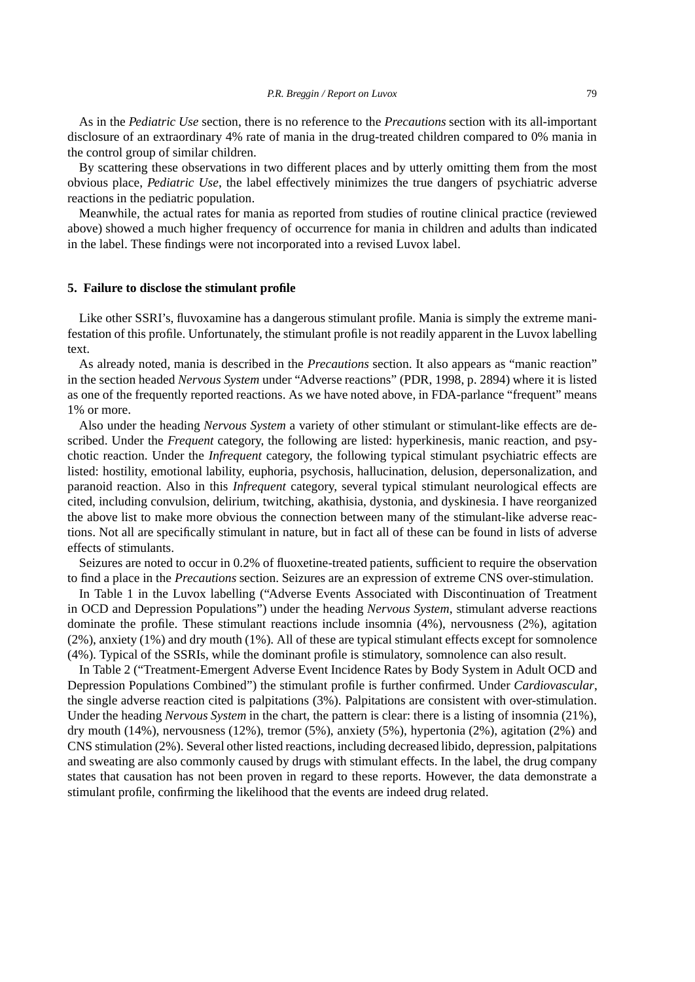As in the *Pediatric Use* section, there is no reference to the *Precautions* section with its all-important disclosure of an extraordinary 4% rate of mania in the drug-treated children compared to 0% mania in the control group of similar children.

By scattering these observations in two different places and by utterly omitting them from the most obvious place, *Pediatric Use*, the label effectively minimizes the true dangers of psychiatric adverse reactions in the pediatric population.

Meanwhile, the actual rates for mania as reported from studies of routine clinical practice (reviewed above) showed a much higher frequency of occurrence for mania in children and adults than indicated in the label. These findings were not incorporated into a revised Luvox label.

## **5. Failure to disclose the stimulant profile**

Like other SSRI's, fluvoxamine has a dangerous stimulant profile. Mania is simply the extreme manifestation of this profile. Unfortunately, the stimulant profile is not readily apparent in the Luvox labelling text.

As already noted, mania is described in the *Precautions* section. It also appears as "manic reaction" in the section headed *Nervous System* under "Adverse reactions" (PDR, 1998, p. 2894) where it is listed as one of the frequently reported reactions. As we have noted above, in FDA-parlance "frequent" means 1% or more.

Also under the heading *Nervous System* a variety of other stimulant or stimulant-like effects are described. Under the *Frequent* category, the following are listed: hyperkinesis, manic reaction, and psychotic reaction. Under the *Infrequent* category, the following typical stimulant psychiatric effects are listed: hostility, emotional lability, euphoria, psychosis, hallucination, delusion, depersonalization, and paranoid reaction. Also in this *Infrequent* category, several typical stimulant neurological effects are cited, including convulsion, delirium, twitching, akathisia, dystonia, and dyskinesia. I have reorganized the above list to make more obvious the connection between many of the stimulant-like adverse reactions. Not all are specifically stimulant in nature, but in fact all of these can be found in lists of adverse effects of stimulants.

Seizures are noted to occur in 0.2% of fluoxetine-treated patients, sufficient to require the observation to find a place in the *Precautions* section. Seizures are an expression of extreme CNS over-stimulation.

In Table 1 in the Luvox labelling ("Adverse Events Associated with Discontinuation of Treatment in OCD and Depression Populations") under the heading *Nervous System*, stimulant adverse reactions dominate the profile. These stimulant reactions include insomnia (4%), nervousness (2%), agitation (2%), anxiety (1%) and dry mouth (1%). All of these are typical stimulant effects except for somnolence (4%). Typical of the SSRIs, while the dominant profile is stimulatory, somnolence can also result.

In Table 2 ("Treatment-Emergent Adverse Event Incidence Rates by Body System in Adult OCD and Depression Populations Combined") the stimulant profile is further confirmed. Under *Cardiovascular*, the single adverse reaction cited is palpitations (3%). Palpitations are consistent with over-stimulation. Under the heading *Nervous System* in the chart, the pattern is clear: there is a listing of insomnia (21%), dry mouth (14%), nervousness (12%), tremor (5%), anxiety (5%), hypertonia (2%), agitation (2%) and CNS stimulation (2%). Several other listed reactions, including decreased libido, depression, palpitations and sweating are also commonly caused by drugs with stimulant effects. In the label, the drug company states that causation has not been proven in regard to these reports. However, the data demonstrate a stimulant profile, confirming the likelihood that the events are indeed drug related.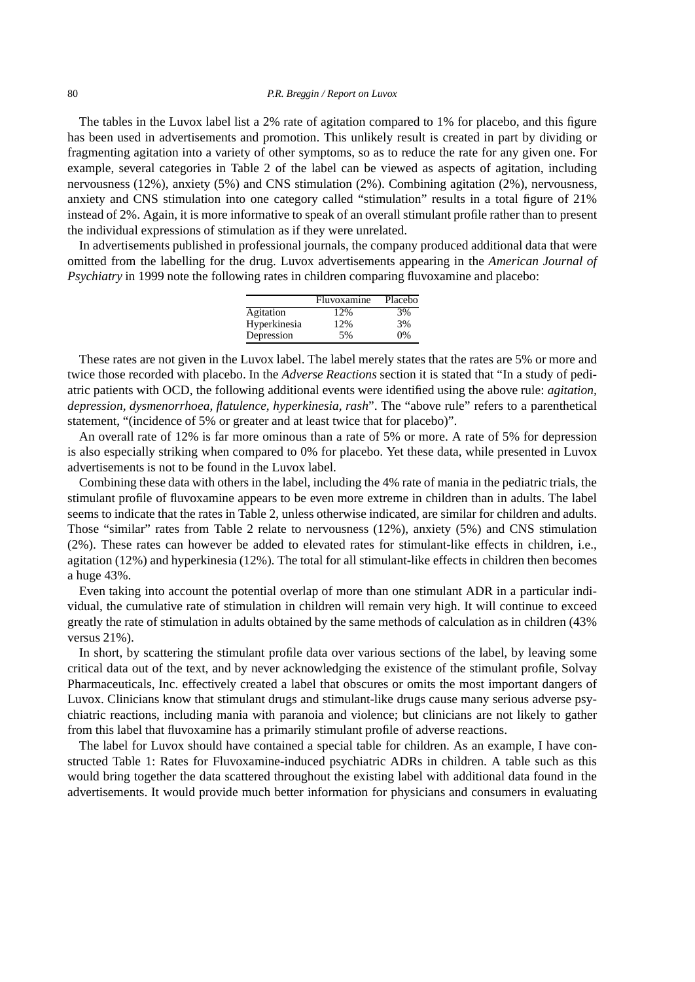The tables in the Luvox label list a 2% rate of agitation compared to 1% for placebo, and this figure has been used in advertisements and promotion. This unlikely result is created in part by dividing or fragmenting agitation into a variety of other symptoms, so as to reduce the rate for any given one. For example, several categories in Table 2 of the label can be viewed as aspects of agitation, including nervousness (12%), anxiety (5%) and CNS stimulation (2%). Combining agitation (2%), nervousness, anxiety and CNS stimulation into one category called "stimulation" results in a total figure of 21% instead of 2%. Again, it is more informative to speak of an overall stimulant profile rather than to present the individual expressions of stimulation as if they were unrelated.

In advertisements published in professional journals, the company produced additional data that were omitted from the labelling for the drug. Luvox advertisements appearing in the *American Journal of Psychiatry* in 1999 note the following rates in children comparing fluvoxamine and placebo:

|              | Fluvoxamine | Placebo |
|--------------|-------------|---------|
| Agitation    | 12%         | 3%      |
| Hyperkinesia | 12%         | 3%      |
| Depression   | 5%          | 0%      |

These rates are not given in the Luvox label. The label merely states that the rates are 5% or more and twice those recorded with placebo. In the *Adverse Reactions* section it is stated that "In a study of pediatric patients with OCD, the following additional events were identified using the above rule: *agitation, depression, dysmenorrhoea, flatulence, hyperkinesia, rash*". The "above rule" refers to a parenthetical statement, "(incidence of 5% or greater and at least twice that for placebo)".

An overall rate of 12% is far more ominous than a rate of 5% or more. A rate of 5% for depression is also especially striking when compared to 0% for placebo. Yet these data, while presented in Luvox advertisements is not to be found in the Luvox label.

Combining these data with others in the label, including the 4% rate of mania in the pediatric trials, the stimulant profile of fluvoxamine appears to be even more extreme in children than in adults. The label seems to indicate that the rates in Table 2, unless otherwise indicated, are similar for children and adults. Those "similar" rates from Table 2 relate to nervousness (12%), anxiety (5%) and CNS stimulation (2%). These rates can however be added to elevated rates for stimulant-like effects in children, i.e., agitation (12%) and hyperkinesia (12%). The total for all stimulant-like effects in children then becomes a huge 43%.

Even taking into account the potential overlap of more than one stimulant ADR in a particular individual, the cumulative rate of stimulation in children will remain very high. It will continue to exceed greatly the rate of stimulation in adults obtained by the same methods of calculation as in children (43% versus 21%).

In short, by scattering the stimulant profile data over various sections of the label, by leaving some critical data out of the text, and by never acknowledging the existence of the stimulant profile, Solvay Pharmaceuticals, Inc. effectively created a label that obscures or omits the most important dangers of Luvox. Clinicians know that stimulant drugs and stimulant-like drugs cause many serious adverse psychiatric reactions, including mania with paranoia and violence; but clinicians are not likely to gather from this label that fluvoxamine has a primarily stimulant profile of adverse reactions.

The label for Luvox should have contained a special table for children. As an example, I have constructed Table 1: Rates for Fluvoxamine-induced psychiatric ADRs in children. A table such as this would bring together the data scattered throughout the existing label with additional data found in the advertisements. It would provide much better information for physicians and consumers in evaluating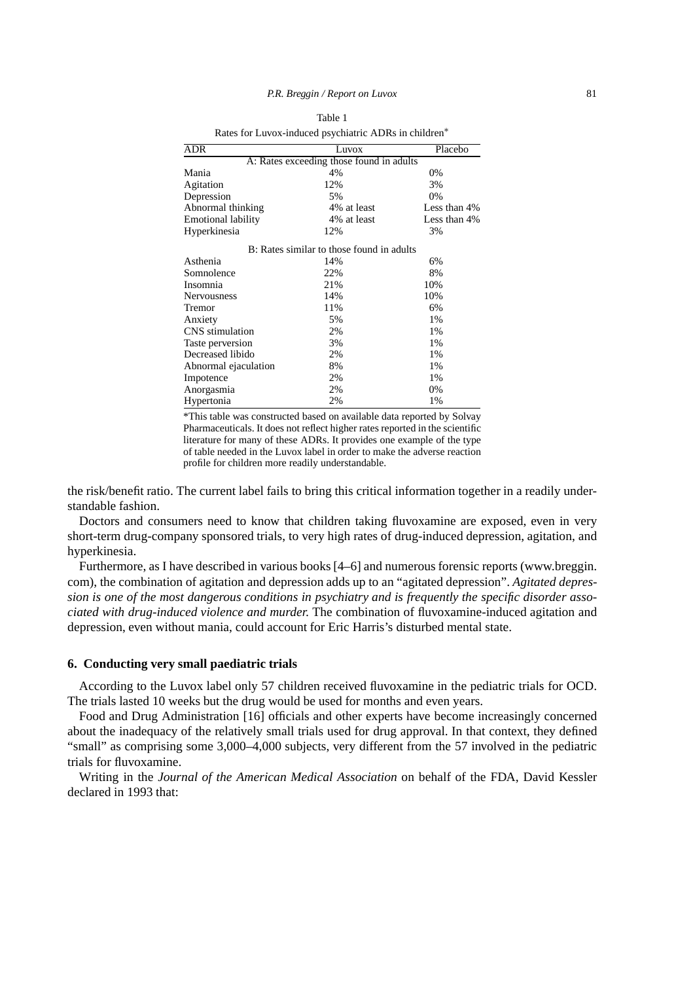| Rates for Luvox-induced psychiatric ADRs in children* |                                           |              |  |  |
|-------------------------------------------------------|-------------------------------------------|--------------|--|--|
| ADR                                                   | Luvox                                     | Placebo      |  |  |
|                                                       | A: Rates exceeding those found in adults  |              |  |  |
| Mania                                                 | 4%                                        | 0%           |  |  |
| Agitation                                             | 12%                                       | 3%           |  |  |
| Depression                                            | 5%                                        | 0%           |  |  |
| Abnormal thinking                                     | 4% at least                               | Less than 4% |  |  |
| Emotional lability                                    | 4% at least                               | Less than 4% |  |  |
| Hyperkinesia                                          | 12%                                       | 3%           |  |  |
|                                                       | B: Rates similar to those found in adults |              |  |  |
| Asthenia                                              | 14%                                       | 6%           |  |  |
| Somnolence                                            | 22%                                       | 8%           |  |  |
| Insomnia                                              | 21%                                       | 10%          |  |  |
| Nervousness                                           | 14%                                       | 10%          |  |  |
| Tremor                                                | 11%                                       | 6%           |  |  |
| Anxiety                                               | 5%                                        | 1%           |  |  |
| CNS stimulation                                       | 2%                                        | 1%           |  |  |
| Taste perversion                                      | 3%                                        | 1%           |  |  |
| Decreased libido                                      | 2%                                        | 1%           |  |  |
| Abnormal ejaculation                                  | 8%                                        | 1%           |  |  |
| Impotence                                             | 2%                                        | 1%           |  |  |
| Anorgasmia                                            | 2%                                        | 0%           |  |  |
| Hypertonia                                            | 2%                                        | 1%           |  |  |

Table 1

\*This table was constructed based on available data reported by Solvay Pharmaceuticals. It does not reflect higher rates reported in the scientific literature for many of these ADRs. It provides one example of the type of table needed in the Luvox label in order to make the adverse reaction profile for children more readily understandable.

the risk/benefit ratio. The current label fails to bring this critical information together in a readily understandable fashion.

Doctors and consumers need to know that children taking fluvoxamine are exposed, even in very short-term drug-company sponsored trials, to very high rates of drug-induced depression, agitation, and hyperkinesia.

Furthermore, as I have described in various books [4–6] and numerous forensic reports (www.breggin. com), the combination of agitation and depression adds up to an "agitated depression". *Agitated depression is one of the most dangerous conditions in psychiatry and is frequently the specific disorder associated with drug-induced violence and murder.* The combination of fluvoxamine-induced agitation and depression, even without mania, could account for Eric Harris's disturbed mental state.

#### **6. Conducting very small paediatric trials**

According to the Luvox label only 57 children received fluvoxamine in the pediatric trials for OCD. The trials lasted 10 weeks but the drug would be used for months and even years.

Food and Drug Administration [16] officials and other experts have become increasingly concerned about the inadequacy of the relatively small trials used for drug approval. In that context, they defined "small" as comprising some 3,000–4,000 subjects, very different from the 57 involved in the pediatric trials for fluvoxamine.

Writing in the *Journal of the American Medical Association* on behalf of the FDA, David Kessler declared in 1993 that: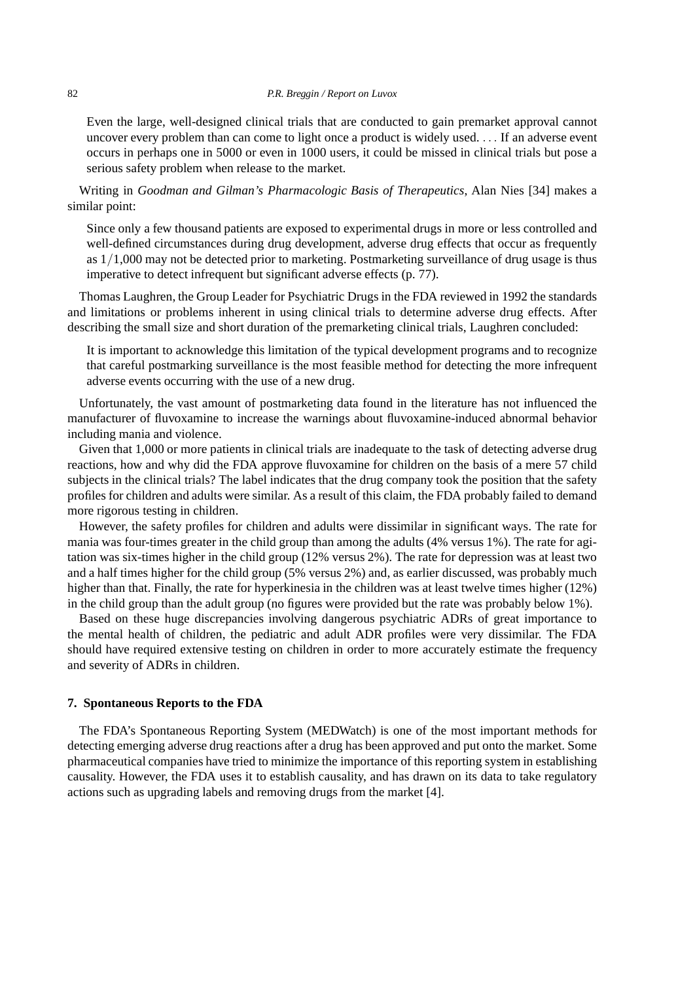Even the large, well-designed clinical trials that are conducted to gain premarket approval cannot uncover every problem than can come to light once a product is widely used. ... If an adverse event occurs in perhaps one in 5000 or even in 1000 users, it could be missed in clinical trials but pose a serious safety problem when release to the market.

Writing in *Goodman and Gilman's Pharmacologic Basis of Therapeutics*, Alan Nies [34] makes a similar point:

Since only a few thousand patients are exposed to experimental drugs in more or less controlled and well-defined circumstances during drug development, adverse drug effects that occur as frequently as 1/1,000 may not be detected prior to marketing. Postmarketing surveillance of drug usage is thus imperative to detect infrequent but significant adverse effects (p. 77).

Thomas Laughren, the Group Leader for Psychiatric Drugs in the FDA reviewed in 1992 the standards and limitations or problems inherent in using clinical trials to determine adverse drug effects. After describing the small size and short duration of the premarketing clinical trials, Laughren concluded:

It is important to acknowledge this limitation of the typical development programs and to recognize that careful postmarking surveillance is the most feasible method for detecting the more infrequent adverse events occurring with the use of a new drug.

Unfortunately, the vast amount of postmarketing data found in the literature has not influenced the manufacturer of fluvoxamine to increase the warnings about fluvoxamine-induced abnormal behavior including mania and violence.

Given that 1,000 or more patients in clinical trials are inadequate to the task of detecting adverse drug reactions, how and why did the FDA approve fluvoxamine for children on the basis of a mere 57 child subjects in the clinical trials? The label indicates that the drug company took the position that the safety profiles for children and adults were similar. As a result of this claim, the FDA probably failed to demand more rigorous testing in children.

However, the safety profiles for children and adults were dissimilar in significant ways. The rate for mania was four-times greater in the child group than among the adults (4% versus 1%). The rate for agitation was six-times higher in the child group (12% versus 2%). The rate for depression was at least two and a half times higher for the child group (5% versus 2%) and, as earlier discussed, was probably much higher than that. Finally, the rate for hyperkinesia in the children was at least twelve times higher (12%) in the child group than the adult group (no figures were provided but the rate was probably below 1%).

Based on these huge discrepancies involving dangerous psychiatric ADRs of great importance to the mental health of children, the pediatric and adult ADR profiles were very dissimilar. The FDA should have required extensive testing on children in order to more accurately estimate the frequency and severity of ADRs in children.

## **7. Spontaneous Reports to the FDA**

The FDA's Spontaneous Reporting System (MEDWatch) is one of the most important methods for detecting emerging adverse drug reactions after a drug has been approved and put onto the market. Some pharmaceutical companies have tried to minimize the importance of this reporting system in establishing causality. However, the FDA uses it to establish causality, and has drawn on its data to take regulatory actions such as upgrading labels and removing drugs from the market [4].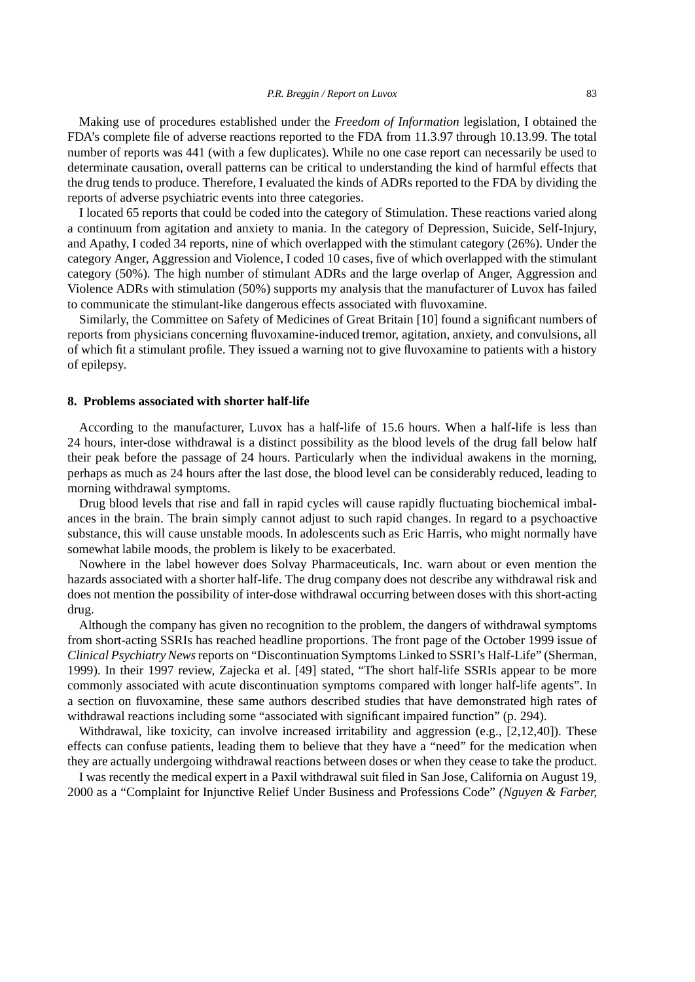Making use of procedures established under the *Freedom of Information* legislation, I obtained the FDA's complete file of adverse reactions reported to the FDA from 11.3.97 through 10.13.99. The total number of reports was 441 (with a few duplicates). While no one case report can necessarily be used to determinate causation, overall patterns can be critical to understanding the kind of harmful effects that the drug tends to produce. Therefore, I evaluated the kinds of ADRs reported to the FDA by dividing the reports of adverse psychiatric events into three categories.

I located 65 reports that could be coded into the category of Stimulation. These reactions varied along a continuum from agitation and anxiety to mania. In the category of Depression, Suicide, Self-Injury, and Apathy, I coded 34 reports, nine of which overlapped with the stimulant category (26%). Under the category Anger, Aggression and Violence, I coded 10 cases, five of which overlapped with the stimulant category (50%). The high number of stimulant ADRs and the large overlap of Anger, Aggression and Violence ADRs with stimulation (50%) supports my analysis that the manufacturer of Luvox has failed to communicate the stimulant-like dangerous effects associated with fluvoxamine.

Similarly, the Committee on Safety of Medicines of Great Britain [10] found a significant numbers of reports from physicians concerning fluvoxamine-induced tremor, agitation, anxiety, and convulsions, all of which fit a stimulant profile. They issued a warning not to give fluvoxamine to patients with a history of epilepsy.

## **8. Problems associated with shorter half-life**

According to the manufacturer, Luvox has a half-life of 15.6 hours. When a half-life is less than 24 hours, inter-dose withdrawal is a distinct possibility as the blood levels of the drug fall below half their peak before the passage of 24 hours. Particularly when the individual awakens in the morning, perhaps as much as 24 hours after the last dose, the blood level can be considerably reduced, leading to morning withdrawal symptoms.

Drug blood levels that rise and fall in rapid cycles will cause rapidly fluctuating biochemical imbalances in the brain. The brain simply cannot adjust to such rapid changes. In regard to a psychoactive substance, this will cause unstable moods. In adolescents such as Eric Harris, who might normally have somewhat labile moods, the problem is likely to be exacerbated.

Nowhere in the label however does Solvay Pharmaceuticals, Inc. warn about or even mention the hazards associated with a shorter half-life. The drug company does not describe any withdrawal risk and does not mention the possibility of inter-dose withdrawal occurring between doses with this short-acting drug.

Although the company has given no recognition to the problem, the dangers of withdrawal symptoms from short-acting SSRIs has reached headline proportions. The front page of the October 1999 issue of *Clinical Psychiatry News*reports on "Discontinuation Symptoms Linked to SSRI's Half-Life" (Sherman, 1999). In their 1997 review, Zajecka et al. [49] stated, "The short half-life SSRIs appear to be more commonly associated with acute discontinuation symptoms compared with longer half-life agents". In a section on fluvoxamine, these same authors described studies that have demonstrated high rates of withdrawal reactions including some "associated with significant impaired function" (p. 294).

Withdrawal, like toxicity, can involve increased irritability and aggression (e.g., [2,12,40]). These effects can confuse patients, leading them to believe that they have a "need" for the medication when they are actually undergoing withdrawal reactions between doses or when they cease to take the product.

I was recently the medical expert in a Paxil withdrawal suit filed in San Jose, California on August 19, 2000 as a "Complaint for Injunctive Relief Under Business and Professions Code" *(Nguyen & Farber,*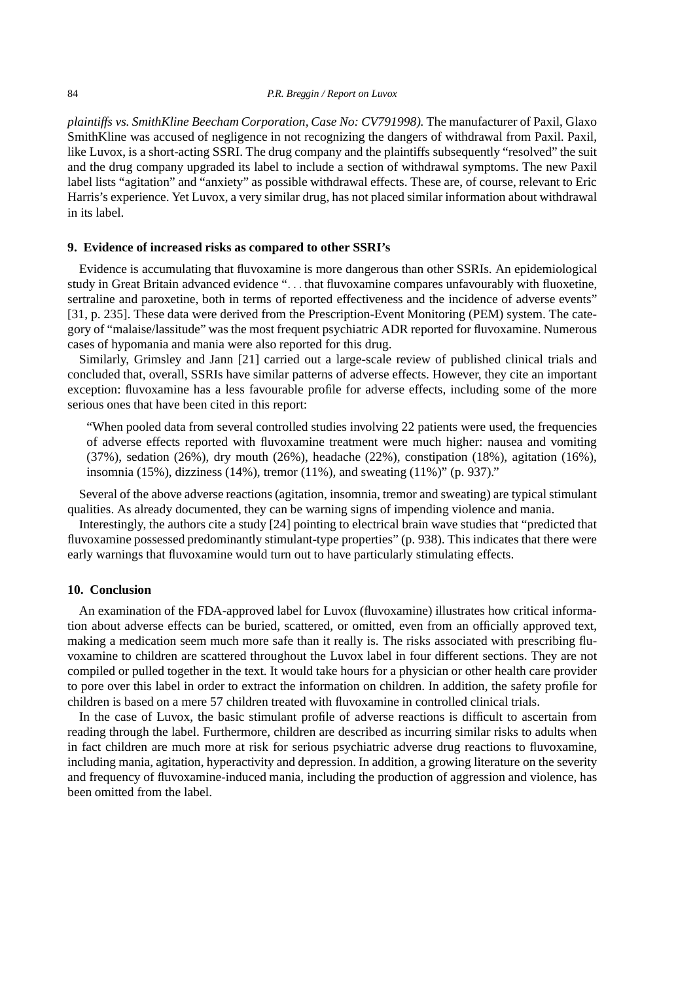*plaintiffs vs. SmithKline Beecham Corporation, Case No: CV791998).* The manufacturer of Paxil, Glaxo SmithKline was accused of negligence in not recognizing the dangers of withdrawal from Paxil. Paxil, like Luvox, is a short-acting SSRI. The drug company and the plaintiffs subsequently "resolved" the suit and the drug company upgraded its label to include a section of withdrawal symptoms. The new Paxil label lists "agitation" and "anxiety" as possible withdrawal effects. These are, of course, relevant to Eric Harris's experience. Yet Luvox, a very similar drug, has not placed similar information about withdrawal in its label.

#### **9. Evidence of increased risks as compared to other SSRI's**

Evidence is accumulating that fluvoxamine is more dangerous than other SSRIs. An epidemiological study in Great Britain advanced evidence "... that fluvoxamine compares unfavourably with fluoxetine, sertraline and paroxetine, both in terms of reported effectiveness and the incidence of adverse events" [31, p. 235]. These data were derived from the Prescription-Event Monitoring (PEM) system. The category of "malaise/lassitude" was the most frequent psychiatric ADR reported for fluvoxamine. Numerous cases of hypomania and mania were also reported for this drug.

Similarly, Grimsley and Jann [21] carried out a large-scale review of published clinical trials and concluded that, overall, SSRIs have similar patterns of adverse effects. However, they cite an important exception: fluvoxamine has a less favourable profile for adverse effects, including some of the more serious ones that have been cited in this report:

"When pooled data from several controlled studies involving 22 patients were used, the frequencies of adverse effects reported with fluvoxamine treatment were much higher: nausea and vomiting  $(37%)$ , sedation  $(26%)$ , dry mouth  $(26%)$ , headache  $(22%)$ , constipation  $(18%)$ , agitation  $(16%)$ , insomnia (15%), dizziness (14%), tremor (11%), and sweating (11%)" (p. 937)."

Several of the above adverse reactions (agitation, insomnia, tremor and sweating) are typical stimulant qualities. As already documented, they can be warning signs of impending violence and mania.

Interestingly, the authors cite a study [24] pointing to electrical brain wave studies that "predicted that fluvoxamine possessed predominantly stimulant-type properties" (p. 938). This indicates that there were early warnings that fluvoxamine would turn out to have particularly stimulating effects.

# **10. Conclusion**

An examination of the FDA-approved label for Luvox (fluvoxamine) illustrates how critical information about adverse effects can be buried, scattered, or omitted, even from an officially approved text, making a medication seem much more safe than it really is. The risks associated with prescribing fluvoxamine to children are scattered throughout the Luvox label in four different sections. They are not compiled or pulled together in the text. It would take hours for a physician or other health care provider to pore over this label in order to extract the information on children. In addition, the safety profile for children is based on a mere 57 children treated with fluvoxamine in controlled clinical trials.

In the case of Luvox, the basic stimulant profile of adverse reactions is difficult to ascertain from reading through the label. Furthermore, children are described as incurring similar risks to adults when in fact children are much more at risk for serious psychiatric adverse drug reactions to fluvoxamine, including mania, agitation, hyperactivity and depression. In addition, a growing literature on the severity and frequency of fluvoxamine-induced mania, including the production of aggression and violence, has been omitted from the label.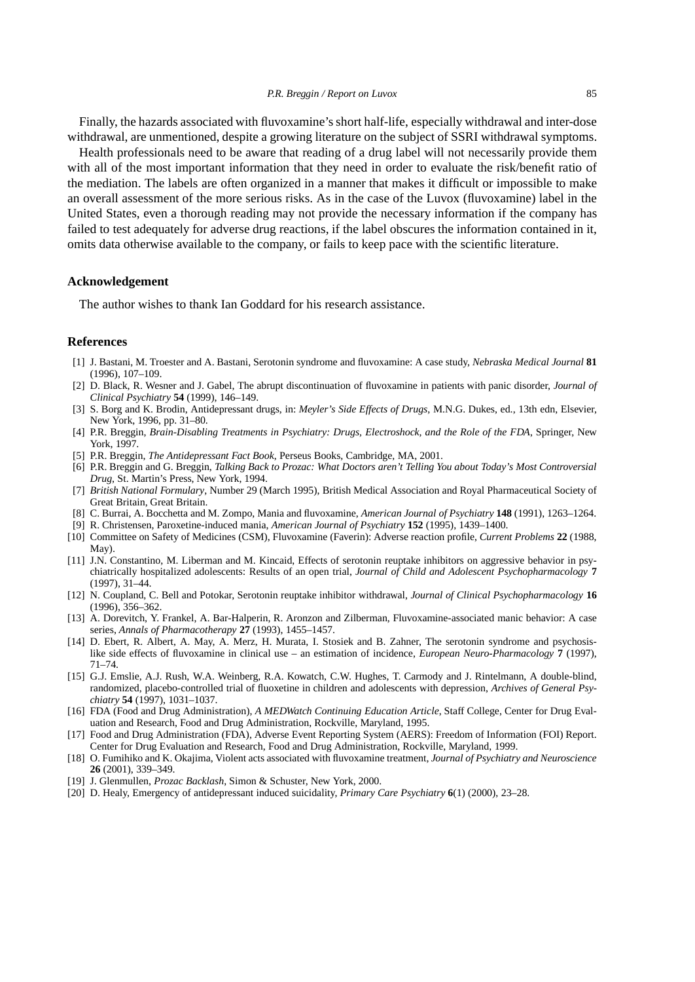Finally, the hazards associated with fluvoxamine's short half-life, especially withdrawal and inter-dose withdrawal, are unmentioned, despite a growing literature on the subject of SSRI withdrawal symptoms.

Health professionals need to be aware that reading of a drug label will not necessarily provide them with all of the most important information that they need in order to evaluate the risk/benefit ratio of the mediation. The labels are often organized in a manner that makes it difficult or impossible to make an overall assessment of the more serious risks. As in the case of the Luvox (fluvoxamine) label in the United States, even a thorough reading may not provide the necessary information if the company has failed to test adequately for adverse drug reactions, if the label obscures the information contained in it, omits data otherwise available to the company, or fails to keep pace with the scientific literature.

#### **Acknowledgement**

The author wishes to thank Ian Goddard for his research assistance.

#### **References**

- [1] J. Bastani, M. Troester and A. Bastani, Serotonin syndrome and fluvoxamine: A case study, *Nebraska Medical Journal* **81** (1996), 107–109.
- [2] D. Black, R. Wesner and J. Gabel, The abrupt discontinuation of fluvoxamine in patients with panic disorder, *Journal of Clinical Psychiatry* **54** (1999), 146–149.
- [3] S. Borg and K. Brodin, Antidepressant drugs, in: *Meyler's Side Effects of Drugs*, M.N.G. Dukes, ed., 13th edn, Elsevier, New York, 1996, pp. 31–80.
- [4] P.R. Breggin, *Brain-Disabling Treatments in Psychiatry: Drugs, Electroshock, and the Role of the FDA*, Springer, New York, 1997.
- [5] P.R. Breggin, *The Antidepressant Fact Book*, Perseus Books, Cambridge, MA, 2001.
- [6] P.R. Breggin and G. Breggin, *Talking Back to Prozac: What Doctors aren't Telling You about Today's Most Controversial Drug*, St. Martin's Press, New York, 1994.
- [7] *British National Formulary*, Number 29 (March 1995), British Medical Association and Royal Pharmaceutical Society of Great Britain, Great Britain.
- [8] C. Burrai, A. Bocchetta and M. Zompo, Mania and fluvoxamine, *American Journal of Psychiatry* **148** (1991), 1263–1264.
- [9] R. Christensen, Paroxetine-induced mania, *American Journal of Psychiatry* **152** (1995), 1439–1400.
- [10] Committee on Safety of Medicines (CSM), Fluvoxamine (Faverin): Adverse reaction profile, *Current Problems* **22** (1988, May).
- [11] J.N. Constantino, M. Liberman and M. Kincaid, Effects of serotonin reuptake inhibitors on aggressive behavior in psychiatrically hospitalized adolescents: Results of an open trial, *Journal of Child and Adolescent Psychopharmacology* **7** (1997), 31–44.
- [12] N. Coupland, C. Bell and Potokar, Serotonin reuptake inhibitor withdrawal, *Journal of Clinical Psychopharmacology* **16** (1996), 356–362.
- [13] A. Dorevitch, Y. Frankel, A. Bar-Halperin, R. Aronzon and Zilberman, Fluvoxamine-associated manic behavior: A case series, *Annals of Pharmacotherapy* **27** (1993), 1455–1457.
- [14] D. Ebert, R. Albert, A. May, A. Merz, H. Murata, I. Stosiek and B. Zahner, The serotonin syndrome and psychosislike side effects of fluvoxamine in clinical use – an estimation of incidence, *European Neuro-Pharmacology* **7** (1997), 71–74.
- [15] G.J. Emslie, A.J. Rush, W.A. Weinberg, R.A. Kowatch, C.W. Hughes, T. Carmody and J. Rintelmann, A double-blind, randomized, placebo-controlled trial of fluoxetine in children and adolescents with depression, *Archives of General Psychiatry* **54** (1997), 1031–1037.
- [16] FDA (Food and Drug Administration), *A MEDWatch Continuing Education Article*, Staff College, Center for Drug Evaluation and Research, Food and Drug Administration, Rockville, Maryland, 1995.
- [17] Food and Drug Administration (FDA), Adverse Event Reporting System (AERS): Freedom of Information (FOI) Report. Center for Drug Evaluation and Research, Food and Drug Administration, Rockville, Maryland, 1999.
- [18] O. Fumihiko and K. Okajima, Violent acts associated with fluvoxamine treatment, *Journal of Psychiatry and Neuroscience* **26** (2001), 339–349.
- [19] J. Glenmullen, *Prozac Backlash*, Simon & Schuster, New York, 2000.
- [20] D. Healy, Emergency of antidepressant induced suicidality, *Primary Care Psychiatry* **6**(1) (2000), 23–28.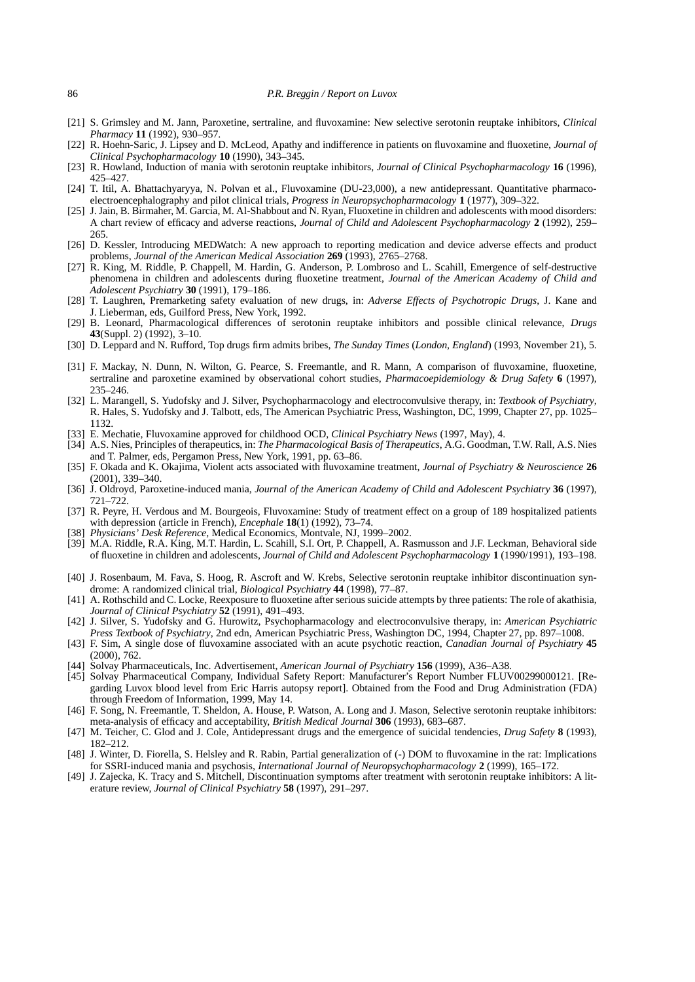- [21] S. Grimsley and M. Jann, Paroxetine, sertraline, and fluvoxamine: New selective serotonin reuptake inhibitors, *Clinical Pharmacy* **11** (1992), 930–957.
- [22] R. Hoehn-Saric, J. Lipsey and D. McLeod, Apathy and indifference in patients on fluvoxamine and fluoxetine, *Journal of Clinical Psychopharmacology* **10** (1990), 343–345.
- [23] R. Howland, Induction of mania with serotonin reuptake inhibitors, *Journal of Clinical Psychopharmacology* **16** (1996), 425–427.
- [24] T. Itil, A. Bhattachyaryya, N. Polvan et al., Fluvoxamine (DU-23,000), a new antidepressant. Quantitative pharmacoelectroencephalography and pilot clinical trials, *Progress in Neuropsychopharmacology* **1** (1977), 309–322.
- [25] J. Jain, B. Birmaher, M. Garcia, M. Al-Shabbout and N. Ryan, Fluoxetine in children and adolescents with mood disorders: A chart review of efficacy and adverse reactions, *Journal of Child and Adolescent Psychopharmacology* **2** (1992), 259– 265.
- [26] D. Kessler, Introducing MEDWatch: A new approach to reporting medication and device adverse effects and product problems, *Journal of the American Medical Association* **269** (1993), 2765–2768.
- [27] R. King, M. Riddle, P. Chappell, M. Hardin, G. Anderson, P. Lombroso and L. Scahill, Emergence of self-destructive phenomena in children and adolescents during fluoxetine treatment, *Journal of the American Academy of Child and Adolescent Psychiatry* **30** (1991), 179–186.
- [28] T. Laughren, Premarketing safety evaluation of new drugs, in: *Adverse Effects of Psychotropic Drugs*, J. Kane and J. Lieberman, eds, Guilford Press, New York, 1992.
- [29] B. Leonard, Pharmacological differences of serotonin reuptake inhibitors and possible clinical relevance, *Drugs* **43**(Suppl. 2) (1992), 3–10.
- [30] D. Leppard and N. Rufford, Top drugs firm admits bribes, *The Sunday Times* (*London, England*) (1993, November 21), 5.
- [31] F. Mackay, N. Dunn, N. Wilton, G. Pearce, S. Freemantle, and R. Mann, A comparison of fluvoxamine, fluoxetine, sertraline and paroxetine examined by observational cohort studies, *Pharmacoepidemiology & Drug Safety* **6** (1997), 235–246.
- [32] L. Marangell, S. Yudofsky and J. Silver, Psychopharmacology and electroconvulsive therapy, in: *Textbook of Psychiatry*, R. Hales, S. Yudofsky and J. Talbott, eds, The American Psychiatric Press, Washington, DC, 1999, Chapter 27, pp. 1025– 1132.
- [33] E. Mechatie, Fluvoxamine approved for childhood OCD, *Clinical Psychiatry News* (1997, May), 4.
- [34] A.S. Nies, Principles of therapeutics, in: *The Pharmacological Basis of Therapeutics*, A.G. Goodman, T.W. Rall, A.S. Nies and T. Palmer, eds, Pergamon Press, New York, 1991, pp. 63–86.
- [35] F. Okada and K. Okajima, Violent acts associated with fluvoxamine treatment, *Journal of Psychiatry & Neuroscience* **26** (2001), 339–340.
- [36] J. Oldroyd, Paroxetine-induced mania, *Journal of the American Academy of Child and Adolescent Psychiatry* **36** (1997), 721–722.
- [37] R. Peyre, H. Verdous and M. Bourgeois, Fluvoxamine: Study of treatment effect on a group of 189 hospitalized patients with depression (article in French), *Encephale* **18**(1) (1992), 73–74.
- [38] *Physicians' Desk Reference*, Medical Economics, Montvale, NJ, 1999–2002.
- [39] M.A. Riddle, R.A. King, M.T. Hardin, L. Scahill, S.I. Ort, P. Chappell, A. Rasmusson and J.F. Leckman, Behavioral side of fluoxetine in children and adolescents, *Journal of Child and Adolescent Psychopharmacology* **1** (1990/1991), 193–198.
- [40] J. Rosenbaum, M. Fava, S. Hoog, R. Ascroft and W. Krebs, Selective serotonin reuptake inhibitor discontinuation syndrome: A randomized clinical trial, *Biological Psychiatry* **44** (1998), 77–87.
- [41] A. Rothschild and C. Locke, Reexposure to fluoxetine after serious suicide attempts by three patients: The role of akathisia, *Journal of Clinical Psychiatry* **52** (1991), 491–493.
- [42] J. Silver, S. Yudofsky and G. Hurowitz, Psychopharmacology and electroconvulsive therapy, in: *American Psychiatric Press Textbook of Psychiatry*, 2nd edn, American Psychiatric Press, Washington DC, 1994, Chapter 27, pp. 897–1008.
- [43] F. Sim, A single dose of fluvoxamine associated with an acute psychotic reaction, *Canadian Journal of Psychiatry* **45** (2000), 762.
- [44] Solvay Pharmaceuticals, Inc. Advertisement, *American Journal of Psychiatry* **156** (1999), A36–A38.
- [45] Solvay Pharmaceutical Company, Individual Safety Report: Manufacturer's Report Number FLUV00299000121. [Regarding Luvox blood level from Eric Harris autopsy report]. Obtained from the Food and Drug Administration (FDA) through Freedom of Information, 1999, May 14.
- [46] F. Song, N. Freemantle, T. Sheldon, A. House, P. Watson, A. Long and J. Mason, Selective serotonin reuptake inhibitors: meta-analysis of efficacy and acceptability, *British Medical Journal* **306** (1993), 683–687.
- [47] M. Teicher, C. Glod and J. Cole, Antidepressant drugs and the emergence of suicidal tendencies, *Drug Safety* **8** (1993), 182–212.
- [48] J. Winter, D. Fiorella, S. Helsley and R. Rabin, Partial generalization of (-) DOM to fluvoxamine in the rat: Implications for SSRI-induced mania and psychosis, *International Journal of Neuropsychopharmacology* **2** (1999), 165–172.
- [49] J. Zajecka, K. Tracy and S. Mitchell, Discontinuation symptoms after treatment with serotonin reuptake inhibitors: A literature review, *Journal of Clinical Psychiatry* **58** (1997), 291–297.